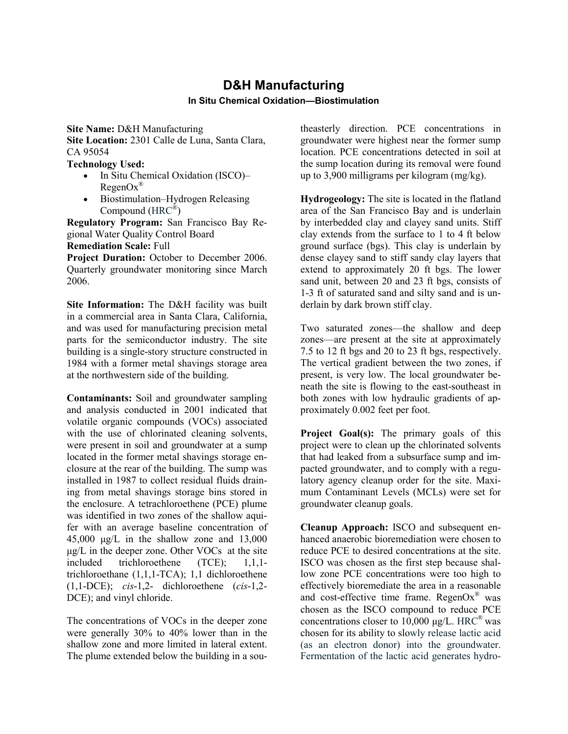## **D&H Manufacturing In Situ Chemical Oxidation—Biostimulation**

**Site Name:** D&H Manufacturing

**Site Location:** 2301 Calle de Luna, Santa Clara, CA 95054

**Technology Used:** 

- In Situ Chemical Oxidation (ISCO)–  $RegenOx^{\circledR}$
- Biostimulation–Hydrogen Releasing Compound (HRC®)

**Regulatory Program:** San Francisco Bay Regional Water Quality Control Board **Remediation Scale:** Full

**Project Duration:** October to December 2006. Quarterly groundwater monitoring since March 2006.

**Site Information:** The D&H facility was built in a commercial area in Santa Clara, California, and was used for manufacturing precision metal parts for the semiconductor industry. The site building is a single-story structure constructed in 1984 with a former metal shavings storage area at the northwestern side of the building.

**Contaminants:** Soil and groundwater sampling and analysis conducted in 2001 indicated that volatile organic compounds (VOCs) associated with the use of chlorinated cleaning solvents, were present in soil and groundwater at a sump located in the former metal shavings storage enclosure at the rear of the building. The sump was installed in 1987 to collect residual fluids draining from metal shavings storage bins stored in the enclosure. A tetrachloroethene (PCE) plume was identified in two zones of the shallow aquifer with an average baseline concentration of 45,000 μg/L in the shallow zone and 13,000 μg/L in the deeper zone. Other VOCs at the site included trichloroethene (TCE); 1,1,1 trichloroethane (1,1,1-TCA); 1,1 dichloroethene (1,1-DCE); *cis*-1,2- dichloroethene (*cis*-1,2- DCE); and vinyl chloride.

The concentrations of VOCs in the deeper zone were generally 30% to 40% lower than in the shallow zone and more limited in lateral extent. The plume extended below the building in a southeasterly direction. PCE concentrations in groundwater were highest near the former sump location. PCE concentrations detected in soil at the sump location during its removal were found up to 3,900 milligrams per kilogram (mg/kg).

**Hydrogeology:** The site is located in the flatland area of the San Francisco Bay and is underlain by interbedded clay and clayey sand units. Stiff clay extends from the surface to 1 to 4 ft below ground surface (bgs). This clay is underlain by dense clayey sand to stiff sandy clay layers that extend to approximately 20 ft bgs. The lower sand unit, between 20 and 23 ft bgs, consists of 1-3 ft of saturated sand and silty sand and is underlain by dark brown stiff clay.

Two saturated zones—the shallow and deep zones—are present at the site at approximately 7.5 to 12 ft bgs and 20 to 23 ft bgs, respectively. The vertical gradient between the two zones, if present, is very low. The local groundwater beneath the site is flowing to the east-southeast in both zones with low hydraulic gradients of approximately 0.002 feet per foot.

Project Goal(s): The primary goals of this project were to clean up the chlorinated solvents that had leaked from a subsurface sump and impacted groundwater, and to comply with a regulatory agency cleanup order for the site. Maximum Contaminant Levels (MCLs) were set for groundwater cleanup goals.

**Cleanup Approach:** ISCO and subsequent enhanced anaerobic bioremediation were chosen to reduce PCE to desired concentrations at the site. ISCO was chosen as the first step because shallow zone PCE concentrations were too high to effectively bioremediate the area in a reasonable and cost-effective time frame. RegenO $x^{\text{®}}$  was chosen as the ISCO compound to reduce PCE concentrations closer to 10,000  $\mu$ g/L. HRC<sup>®</sup> was chosen for its ability to slowly release lactic acid (as an electron donor) into the groundwater. Fermentation of the lactic acid generates hydro-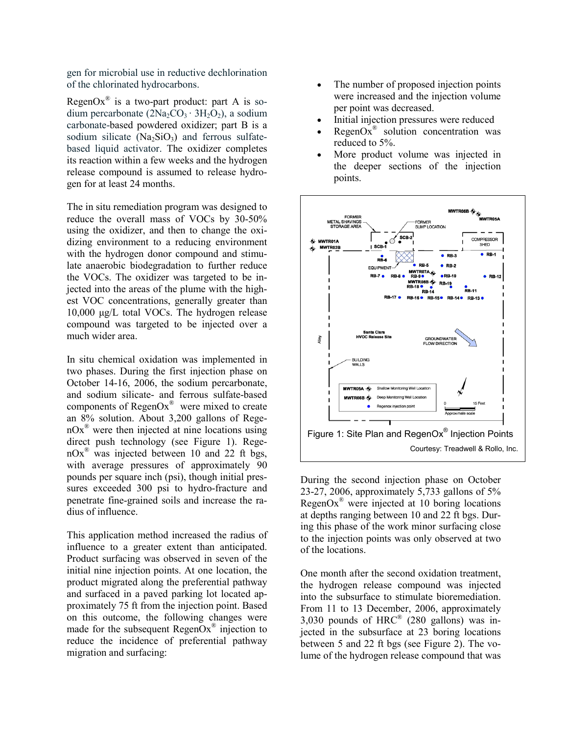gen for microbial use in reductive dechlorination of the chlorinated hydrocarbons.

RegenOx<sup>®</sup> is a two-part product: part A is sodium percarbonate  $(2Na_2CO_3 \cdot 3H_2O_2)$ , a sodium carbonate-based powdered oxidizer; part B is a sodium silicate  $(Na<sub>2</sub>SiO<sub>3</sub>)$  and ferrous sulfatebased liquid activator. The oxidizer completes its reaction within a few weeks and the hydrogen release compound is assumed to release hydrogen for at least 24 months.

The in situ remediation program was designed to reduce the overall mass of VOCs by 30-50% using the oxidizer, and then to change the oxidizing environment to a reducing environment with the hydrogen donor compound and stimulate anaerobic biodegradation to further reduce the VOCs. The oxidizer was targeted to be injected into the areas of the plume with the highest VOC concentrations, generally greater than 10,000 μg/L total VOCs. The hydrogen release compound was targeted to be injected over a much wider area.

In situ chemical oxidation was implemented in two phases. During the first injection phase on October 14-16, 2006, the sodium percarbonate, and sodium silicate- and ferrous sulfate-based components of RegenO $x^{\textcircled{\tiny{\text{R}}}}$  were mixed to create an 8% solution. About 3,200 gallons of Rege $nOx^{\circledast}$  were then injected at nine locations using direct push technology (see Figure 1). Rege $nOx^{\omega}$  was injected between 10 and 22 ft bgs, with average pressures of approximately 90 pounds per square inch (psi), though initial pressures exceeded 300 psi to hydro-fracture and penetrate fine-grained soils and increase the radius of influence.

This application method increased the radius of influence to a greater extent than anticipated. Product surfacing was observed in seven of the initial nine injection points. At one location, the product migrated along the preferential pathway and surfaced in a paved parking lot located approximately 75 ft from the injection point. Based on this outcome, the following changes were made for the subsequent  $RegenOx^{\circledast}$  injection to reduce the incidence of preferential pathway migration and surfacing:

- The number of proposed injection points were increased and the injection volume per point was decreased.
- Initial injection pressures were reduced
- $RegenOx^*$  solution concentration was reduced to 5%.
- More product volume was injected in the deeper sections of the injection points.



During the second injection phase on October 23-27, 2006, approximately 5,733 gallons of 5% RegenOx<sup>®</sup> were injected at 10 boring locations at depths ranging between 10 and 22 ft bgs. During this phase of the work minor surfacing close to the injection points was only observed at two of the locations.

One month after the second oxidation treatment, the hydrogen release compound was injected into the subsurface to stimulate bioremediation. From 11 to 13 December, 2006, approximately 3,030 pounds of  $HRC^{\circledR}$  (280 gallons) was injected in the subsurface at 23 boring locations between 5 and 22 ft bgs (see Figure 2). The volume of the hydrogen release compound that was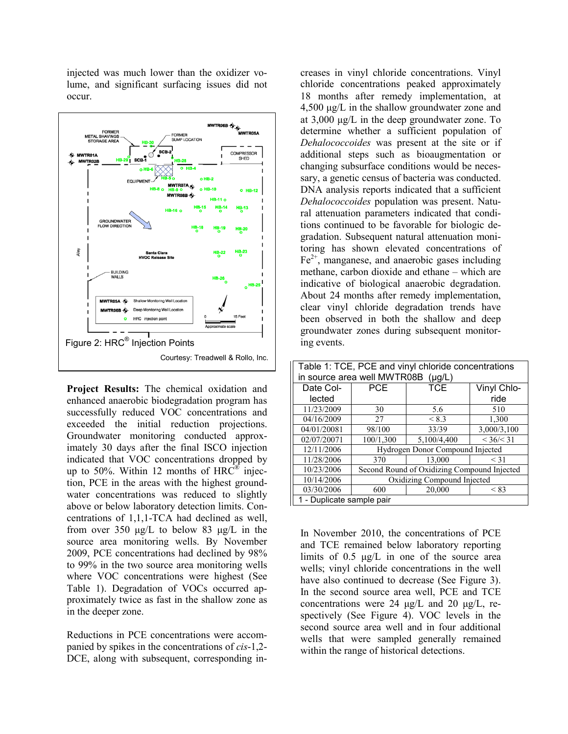injected was much lower than the oxidizer volume, and significant surfacing issues did not occur.



**Project Results:** The chemical oxidation and enhanced anaerobic biodegradation program has successfully reduced VOC concentrations and exceeded the initial reduction projections. Groundwater monitoring conducted approximately 30 days after the final ISCO injection indicated that VOC concentrations dropped by up to 50%. Within 12 months of  $HRC^{\circledR}$  injection, PCE in the areas with the highest groundwater concentrations was reduced to slightly above or below laboratory detection limits. Concentrations of 1,1,1-TCA had declined as well, from over 350 μg/L to below 83 μg/L in the source area monitoring wells. By November 2009, PCE concentrations had declined by 98% to 99% in the two source area monitoring wells where VOC concentrations were highest (See Table 1). Degradation of VOCs occurred approximately twice as fast in the shallow zone as in the deeper zone.

Reductions in PCE concentrations were accom panied by spikes in the concentrations of *cis*-1,2- DCE, along with subsequent, corresponding in-

creases in vinyl chloride concentrations. Vinyl chloride concentrations peaked approximately 18 months after remedy implementation, at 4,500 μg/L in the shallow groundwater zone and at 3,000 μg/L in the deep groundwater zone. To determine whether a sufficient population of *Dehalococcoides* was present at the site or if additional steps such as bioaugmentation or changing subsurface conditions would be necessary, a genetic census of bacteria was conducted. DNA analysis reports indicated that a sufficient *Dehalococcoides* population was present. Natural attenuation parameters indicated that conditions continued to be favorable for biologic degradation. Subsequent natural attenuation monitoring has shown elevated concentrations of  $Fe<sup>2+</sup>$ , manganese, and anaerobic gases including methane, carbon dioxide and ethane – which are indicative of biological anaerobic degradation. About 24 months after remedy implementation, clear vinyl chloride degradation trends have been observed in both the shallow and deep groundwater zones during subsequent monitoring events.

| Table 1: TCE, PCE and vinyl chloride concentrations |                                             |             |             |
|-----------------------------------------------------|---------------------------------------------|-------------|-------------|
| in source area well MWTR08B (µg/L)                  |                                             |             |             |
| Date Col-                                           | <b>PCE</b>                                  | <b>TCE</b>  | Vinyl Chlo- |
| lected                                              |                                             |             | ride        |
| 11/23/2009                                          | 30                                          | 5.6         | 510         |
| 04/16/2009                                          | 27                                          | < 8.3       | 1,300       |
| 04/01/20081                                         | 98/100                                      | 33/39       | 3,000/3,100 |
| 02/07/20071                                         | 100/1,300                                   | 5,100/4,400 | < 36 / < 31 |
| 12/11/2006                                          | Hydrogen Donor Compound Injected            |             |             |
| 11/28/2006                                          | 370                                         | 13.000      | < 31        |
| 10/23/2006                                          | Second Round of Oxidizing Compound Injected |             |             |
| 10/14/2006                                          | Oxidizing Compound Injected                 |             |             |
| 03/30/2006                                          | 600                                         | 20,000      | < 83        |
| 1 - Duplicate sample pair                           |                                             |             |             |

In November 2010, the concentrations of PCE and TCE remained below laboratory reporting limits of 0.5 μg/L in one of the source area wells; vinyl chloride concentrations in the well have also continued to decrease (See Figure 3). In the second source area well, PCE and TCE concentrations were 24 μg/L and 20 μg/L, respectively (See Figure 4). VOC levels in the second source area well and in four additional wells that were sampled generally remained within the range of historical detections.